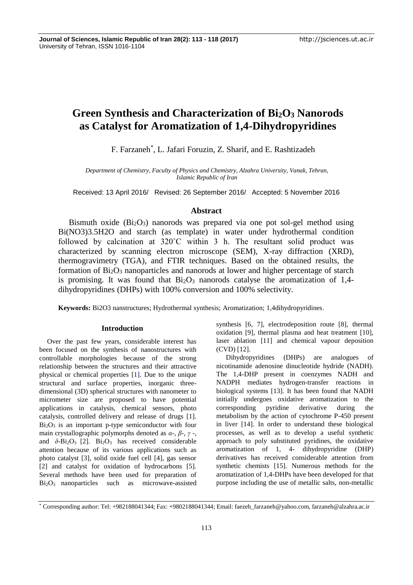# **Green Synthesis and Characterization of Bi2O<sup>3</sup> Nanorods as Catalyst for Aromatization of 1,4-Dihydropyridines**

F. Farzaneh\* , L. Jafari Foruzin, Z. Sharif, and E. Rashtizadeh

*Department of Chemistry, Faculty of Physics and Chemistry, Alzahra University, Vanak, Tehran, Islamic Republic of Iran*

Received: 13 April 2016/ Revised: 26 September 2016/ Accepted: 5 November 2016

# **Abstract**

Bismuth oxide (Bi2O3) nanorods was prepared via one pot sol-gel method using Bi(NO3)3.5H2O and starch (as template) in water under hydrothermal condition followed by calcination at 320˚C within 3 h. The resultant solid product was characterized by scanning electron microscope (SEM), X-ray diffraction (XRD), thermogravimetry (TGA), and FTIR techniques. Based on the obtained results, the formation of  $Bi<sub>2</sub>O<sub>3</sub>$  nanoparticles and nanorods at lower and higher percentage of starch is promising. It was found that  $Bi<sub>2</sub>O<sub>3</sub>$  nanorods catalyse the aromatization of 1,4dihydropyridines (DHPs) with 100% conversion and 100% selectivity.

**Keywords:** Bi2O3 nanstructures; Hydrothermal synthesis; Aromatization; 1,4dihydropyridines.

## **Introduction**

Over the past few years, considerable interest has been focused on the synthesis of nanostructures with controllable morphologies because of the strong relationship between the structures and their attractive physical or chemical properties [1]. Due to the unique structural and surface properties, inorganic threedimensional (3D) spherical structures with nanometer to micrometer size are proposed to have potential applications in catalysis, chemical sensors, photo catalysis, controlled delivery and release of drugs [1].  $Bi<sub>2</sub>O<sub>3</sub>$  is an important p-type semiconductor with four main crystallographic polymorphs denoted as *α*-, *β*-, *γ* -, and  $\delta$ -Bi<sub>2</sub>O<sub>3</sub> [2]. Bi<sub>2</sub>O<sub>3</sub> has received considerable attention because of its various applications such as photo catalyst [3], solid oxide fuel cell [4], gas sensor [2] and catalyst for oxidation of hydrocarbons [5]. Several methods have been used for preparation of Bi2O3 nanoparticles such as microwave-assisted synthesis [6, 7], electrodeposition route [8], thermal oxidation [9], thermal plasma and heat treatment [10], laser ablation [11] and chemical vapour deposition (CVD) [12].

Dihydropyridines (DHPs) are analogues of nicotinamide adenosine dinucleotide hydride (NADH). The 1,4-DHP present in coenzymes NADH and NADPH mediates hydrogen-transfer reactions in biological systems [13]. It has been found that NADH initially undergoes oxidative aromatization to the corresponding pyridine derivative during the metabolism by the action of cytochrome P-450 present in liver [14]. In order to understand these biological processes, as well as to develop a useful synthetic approach to poly substituted pyridines, the oxidative aromatization of 1, 4- dihydropyridine (DHP) derivatives has received considerable attention from synthetic chemists [15]. Numerous methods for the aromatization of 1,4-DHPs have been developed for that purpose including the use of metallic salts, non-metallic

<sup>\*</sup> Corresponding author: Tel: +982188041344; Fax: +9802188041344; Email: faezeh\_farzaneh@yahoo.com, farzaneh@alzahra.ac.ir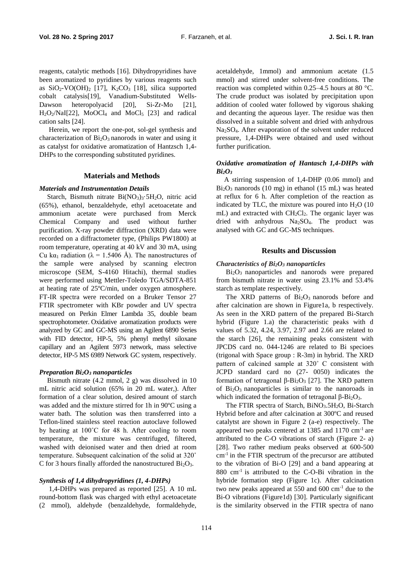reagents, catalytic methods [16]. Dihydropyridines have been aromatized to pyridines by various reagents such as  $SiO_2$ -VO(OH)<sub>2</sub> [17], K<sub>2</sub>CO<sub>3</sub> [18], silica supported cobalt catalysis[19], Vanadium-Substituted Wells-Dawson heteropolyacid [20], Si-Zr-Mo [21],  $H_2O_2/NaI[22]$ , MoOCl<sub>4</sub> and MoCl<sub>5</sub> [23] and radical cation salts [24].

Herein, we report the one-pot, sol-gel synthesis and characterization of  $Bi<sub>2</sub>O<sub>3</sub>$  nanorods in water and using it as catalyst for oxidative aromatization of Hantzsch 1,4- DHPs to the corresponding substituted pyridines.

#### **Materials and Methods**

#### *Materials and Instrumentation Details*

Starch, Bismuth nitrate  $Bi(NO<sub>3</sub>)<sub>3</sub>$  5H<sub>2</sub>O, nitric acid (65%), ethanol, benzaldehyde, ethyl acetoacetate and ammonium acetate were purchased from Merck Chemical Company and used without further purification. X-ray powder diffraction (XRD) data were recorded on a diffractometer type, (Philips PW1800) at room temperature, operating at 40 kV and 30 mA, using Cu k $\alpha_1$  radiation ( $\lambda = 1.5406$  Å). The nanostructures of the sample were analysed by scanning electron microscope (SEM, S-4160 Hitachi), thermal studies were performed using Mettler-Toledo TGA/SDTA-851 at heating rate of 25ºC/min, under oxygen atmosphere. FT-IR spectra were recorded on a Bruker Tensor 27 FTIR spectrometer with KBr powder and UV spectra measured on Perkin Elmer Lambda 35, double beam spectrophotometer. Oxidative aromatization products were analyzed by GC and GC-MS using an Agilent 6890 Series with FID detector, HP-5, 5% phenyl methyl siloxane capillary and an Agilent 5973 network, mass selective detector, HP-5 MS 6989 Network GC system, respectively.

#### *Preparation Bi2O<sup>3</sup> nanoparticles*

Bismuth nitrate (4.2 mmol, 2 g) was dissolved in 10 mL nitric acid solution (65% in 20 mL water,). After formation of a clear solution, desired amount of starch was added and the mixture stirred for 1h in 90ºC using a water bath. The solution was then transferred into a Teflon-lined stainless steel reaction autoclave followed by heating at 100˚C for 48 h. After cooling to room temperature, the mixture was centrifuged, filtered, washed with deionised water and then dried at room temperature. Subsequent calcination of the solid at 320˚ C for 3 hours finally afforded the nanostructured  $Bi<sub>2</sub>O<sub>3</sub>$ .

#### *Synthesis of 1,4 dihydropyridines (1, 4-DHPs)*

1,4-DHPs was prepared as reported [25]. A 10 mL round-bottom flask was charged with ethyl acetoacetate (2 mmol), aldehyde (benzaldehyde, formaldehyde, acetaldehyde, 1mmol) and ammonium acetate (1.5 mmol) and stirred under solvent-free conditions. The reaction was completed within 0.25–4.5 hours at 80 °C. The crude product was isolated by precipitation upon addition of cooled water followed by vigorous shaking and decanting the aqueous layer. The residue was then dissolved in a suitable solvent and dried with anhydrous Na2SO4. After evaporation of the solvent under reduced pressure, 1,4-DHPs were obtained and used without further purification.

# *Oxidative aromatization of Hantasch 1,4-DHPs with*   $Bi<sub>2</sub>O<sub>3</sub>$

A stirring suspension of 1,4-DHP (0.06 mmol) and  $Bi<sub>2</sub>O<sub>3</sub>$  nanorods (10 mg) in ethanol (15 mL) was heated at reflux for 6 h. After completion of the reaction as indicated by TLC, the mixture was poured into  $H_2O$  (10) mL) and extracted with  $CH<sub>2</sub>Cl<sub>2</sub>$ . The organic layer was dried with anhydrous Na2SO4. The product was analysed with GC and GC-MS techniques.

# **Results and Discussion**

# *Characteristics of Bi2O<sup>3</sup> nanoparticles*

Bi2O3 nanoparticles and nanorods were prepared from bismuth nitrate in water using 23.1% and 53.4% starch as template respectively.

The XRD patterns of Bi<sub>2</sub>O<sub>3</sub> nanorods before and after calcination are shown in Figure1a, b respectively. As seen in the XRD pattern of the prepared Bi-Starch hybrid (Figure 1.a) the characteristic peaks with d values of 5.32, 4.24, 3.97, 2.97 and 2.66 are related to the starch [26], the remaining peaks consistent with JPCDS card no. 044-1246 are related to Bi specioes (trigonal with Space group : R-3m) in hybrid. The XRD pattern of calcined sample at 320˚ C consistent with JCPD standard card no (27- 0050) indicates the formation of tetragonal β-Bi<sub>2</sub>O<sub>3</sub> [27]. The XRD pattern of  $Bi<sub>2</sub>O<sub>3</sub>$  nanoparticles is similar to the nanoroads in which indicated the formation of tetragonal  $β$ -Bi<sub>2</sub>O<sub>3</sub>.

The FTIR spectra of Starch, BiNO<sub>3</sub>.5H<sub>2</sub>O, Bi-Starch Hybrid before and after calcination at 300ºC and reused catalytst are shown in Figure 2 (a-e) respectively. The appeared two peaks centered at 1385 and 1170 cm-1 are attributed to the C-O vibrations of starch (Figure 2- a) [28]. Two rather medium peaks observed at 600-500 cm-1 in the FTIR spectrum of the precursor are attibuted to the vibration of Bi-O [29] and a band appearing at 880 cm-1 is attributed to the C-O-Bi vibration in the hybride formation step (Figure 1c). After calcination two new peaks appeared at  $550$  and  $600 \text{ cm}^{-1}$  due to the Bi-O vibrations (Figure1d) [30]. Particularly significant is the similarity observed in the FTIR spectra of nano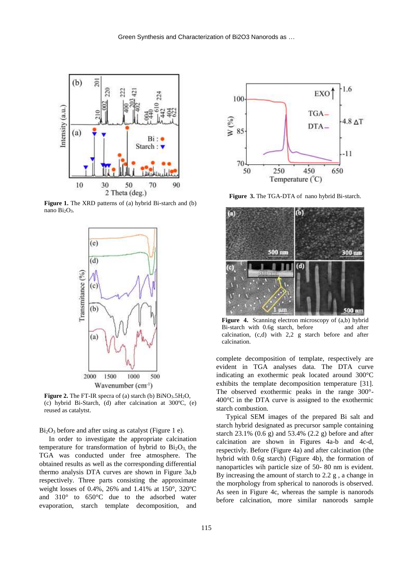

**Figure 1.** The XRD patterns of (a) hybrid Bi-starch and (b) nano Bi2O3.



**Figure 2.** The FT-IR specra of (a) starch (b) BiNO<sub>3</sub>.5H<sub>2</sub>O, (c) hybrid Bi-Starch, (d) after calcination at 300ºC, (e) reused as catalytst.

 $Bi<sub>2</sub>O<sub>3</sub>$  before and after using as catalyst (Figure 1 e).

In order to investigate the appropriate calcination temperature for transformation of hybrid to  $Bi<sub>2</sub>O<sub>3</sub>$ , the TGA was conducted under free atmosphere. The obtained results as well as the corresponding differential thermo analysis DTA curves are shown in Figure 3a,b respectively. Three parts consisting the approximate weight losses of 0.4%, 26% and 1.41% at 150°, 320ºC and 310° to 650°C due to the adsorbed water evaporation, starch template decomposition, and



**Figure 3.** The TGA-DTA of nano hybrid Bi-starch.



Figure 4. Scanning electron microscopy of (a,b) hybrid Bi-starch with 0.6g starch, before and after calcination, (c,d) with 2,2 g starch before and after calcination.

complete decomposition of template, respectively are evident in TGA analyses data. The DTA curve indicating an exothermic peak located around 300°C exhibits the template decomposition temperature [31]. The observed exothermic peaks in the range 300°- 400°C in the DTA curve is assigned to the exothermic starch combustion.

Typical SEM images of the prepared Bi salt and starch hybrid designated as precursor sample containing starch 23.1% (0.6 g) and 53.4% (2.2 g) before and after calcination are shown in Figures 4a-b and 4c-d, respectivly. Before (Figure 4a) and after calcination (the hybrid with 0.6g starch) (Figure 4b), the formation of nanoparticles wih particle size of 50- 80 nm is evident. By increasing the amount of starch to 2.2 g , a change in the morphology from spherical to nanorods is observed. As seen in Figure 4c, whereas the sample is nanorods before calcination, more similar nanorods sample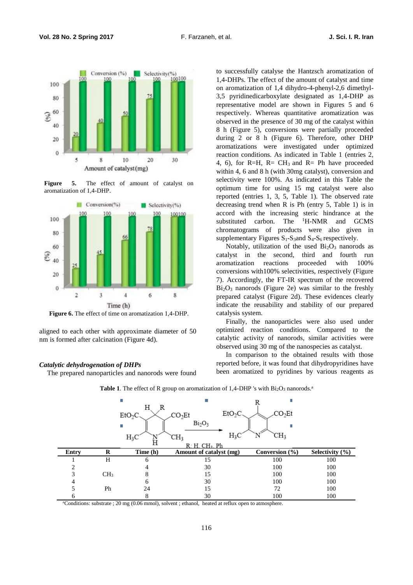

**Figure 5.** The effect of amount of catalyst on aromatization of 1,4-DHP.



**Figure 6.** The effect of time on aromatization 1,4-DHP.

aligned to each other with approximate diameter of 50 nm is formed after calcination (Figure 4d).

#### *Catalytic dehydrogenation of DHPs*

The prepared nanoparticles and nanorods were found

to successfully catalyse the Hantzsch aromatization of 1,4-DHPs. The effect of the amount of catalyst and time on aromatization of 1,4 dihydro-4-phenyl-2,6 dimethyl-3,5 pyridinedicarboxylate designated as 1,4-DHP as representative model are shown in Figures 5 and 6 respectively. Whereas quantitative aromatization was observed in the presence of 30 mg of the catalyst within 8 h (Figure 5), conversions were partially proceeded during 2 or 8 h (Figure 6). Therefore, other DHP aromatizations were investigated under optimized reaction conditions. As indicated in Table 1 (entries 2, 4, 6), for R=H,  $R = CH_3$  and R= Ph have proceeded within 4, 6 and 8 h (with 30mg catalyst), conversion and selectivity were 100%. As indicated in this Table the optimum time for using 15 mg catalyst were also reported (entries 1, 3, 5, Table 1). The observed rate decreasing trend when R is Ph (entry 5, Table 1) is in accord with the increasing steric hindrance at the substituted carbon. The <sup>1</sup>H-NMR and GCMS chromatograms of products were also given in supplementary Figures  $S_1$ - $S_3$  and  $S_4$ - $S_6$  respectively.

Notably, utilization of the used  $Bi<sub>2</sub>O<sub>3</sub>$  nanorods as catalyst in the second, third and fourth run aromatization reactions proceeded with 100% conversions with100% selectivities, respectively (Figure 7). Accordingly, the FT-IR spectrum of the recovered  $Bi<sub>2</sub>O<sub>3</sub>$  nanorods (Figure 2e) was similar to the freshly prepared catalyst (Figure 2d). These evidences clearly indicate the reusability and stability of our prepared catalysis system.

Finally, the nanoparticles were also used under optimized reaction conditions. Compared to the catalytic activity of nanorods, similar activities were observed using 30 mg of the nanospecies as catalyst.

In comparison to the obtained results with those reported before, it was found that dihydropyridines have been aromatized to pyridines by various reagents as



Table 1. The effect of R group on aromatization of 1,4-DHP 's with Bi<sub>2</sub>O<sub>3</sub> nanorods.<sup>a</sup>

<sup>a</sup>Conditions: substrate ; 20 mg (0.06 mmol), solvent ; ethanol, heated at reflux open to atmosphere.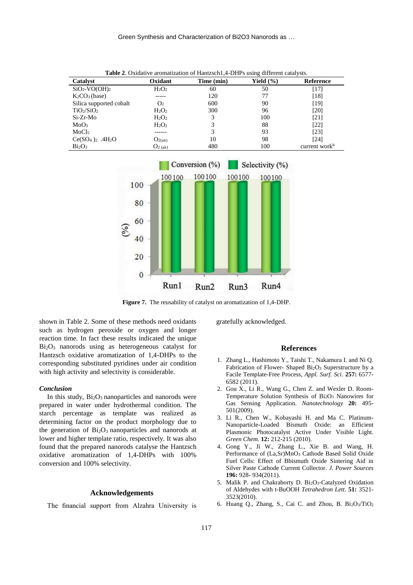| Catalyst                           | Oxidant        | Time (min) | Yield $(\% )$ | Reference                 |
|------------------------------------|----------------|------------|---------------|---------------------------|
| $SiO2-VO(OH)2$                     | $H_2O_2$       | 60         | 50            | [17]                      |
| $K2CO3$ (base)                     |                | 120        | 77            | [18]                      |
| Silica supported cobalt            | O <sub>2</sub> | 600        | 90            | [19]                      |
| TiO <sub>2</sub> /SiO <sub>2</sub> | $H_2O_2$       | 300        | 96            | [20]                      |
| Si-Zr-Mo                           | $H_2O_2$       | 3          | 100           | [21]                      |
| MoO <sub>3</sub>                   | $H_2O_2$       | 3          | 88            | [22]                      |
| MoCl <sub>5</sub>                  |                | 3          | 93            | [23]                      |
| $Ce(SO4)2$ .4H <sub>2</sub> O      | $O_{2(air)}$   | 10         | 98            | [24]                      |
| Bi <sub>2</sub> O <sub>3</sub>     | $O2$ (air)     | 480        | 100           | current work <sup>b</sup> |

**Table 2**. Oxidative aromatization of Hantzsch1,4-DHPs using different catalysts.



**Figure 7.** The reusability of catalyst on aromatization of 1,4-DHP.

shown in Table 2. Some of these methods need oxidants such as hydrogen peroxide or oxygen and longer reaction time. In fact these results indicated the unique  $Bi<sub>2</sub>O<sub>3</sub>$  nanorods using as heterogeneous catalyst for Hantzsch oxidative aromatization of 1,4-DHPs to the corresponding substituted pyridines under air condition with high activity and selectivity is considerable.

### *Conclusion*

In this study,  $Bi<sub>2</sub>O<sub>3</sub>$  nanoparticles and nanorods were prepared in water under hydrothermal condition. The starch percentage as template was realized as  $\frac{5!}{2!}$ determining factor on the product morphology due to the generation of  $Bi<sub>2</sub>O<sub>3</sub>$  nanoparticles and nanorods at lower and higher template ratio, respectively. It was also found that the prepared nanorods catalyse the Hantzsch oxidative aromatization of 1,4-DHPs with 100% conversion and 100% selectivity.

# **Acknowledgements**

The financial support from Alzahra University is

gratefully acknowledged.

#### **References**

- 1. Zhang L., Hashimoto Y., Taishi T., Nakamura I. and Ni Q. Fabrication of Flower- Shaped Bi<sub>2</sub>O<sub>3</sub> Superstructure by a Facile Template-Free Process, *Appl. Surf. Sci*. **257:** 6577- 6582 (2011).
- 2. Gou X., Li R., Wang G., Chen Z. and Wexler D. Room-Temperature Solution Synthesis of Bi2O<sup>3</sup> Nanowires for ater under hydrothermal condition. The Gas Sensing Application. Nanotechnology 20: 495-501(2009).
	- 3. Li R., Chen W., Kobayashi H. and Ma C. Platinum-Nanoparticle-Loaded Bismuth Oxide: an Efficient Plasmonic Photocatalyst Active Under Visible Light. *Green Chem*. **12:** 212-215 (2010).
	- 4. Gong Y., Ji W., Zhang L., Xie B. and Wang, H. Performance of (La,Sr)MnO<sup>3</sup> Cathode Based Solid Oxide Fuel Cells: Effect of Bbismuth Oxide Sintering Aid in Silver Paste Cathode Current Collector. *J. Power Sources* **196:** 928- 934(2011).
	- 5. Malik P. and Chakraborty D. Bi2O3-Catalyzed Oxidation of Aldehydes with t-BuOOH *Tetrahedron Lett*. **51:** 3521- 3523(2010).
	- 6. Huang Q., Zhang, S., Cai C. and Zhou, B. Bi2O3/TiO<sup>2</sup>